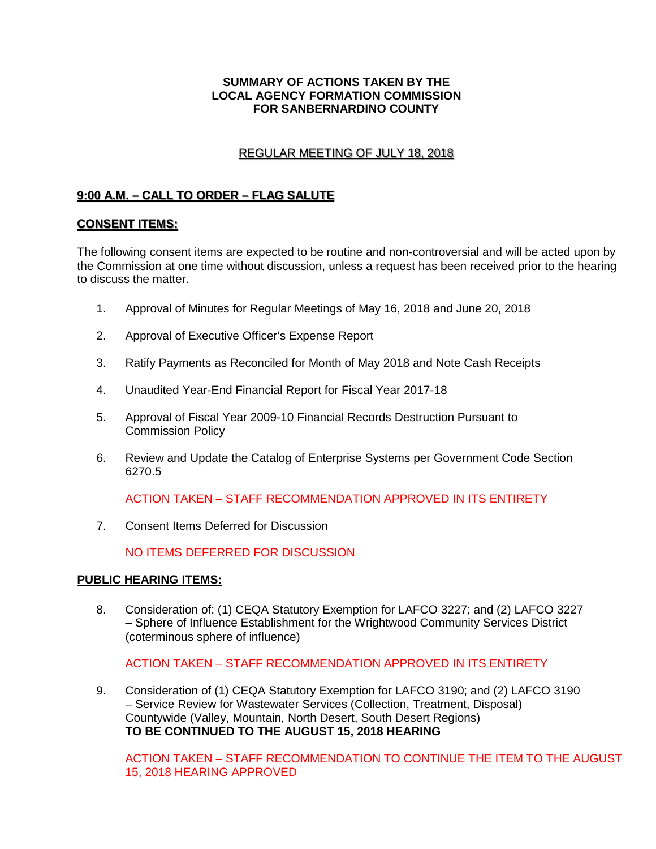### **SUMMARY OF ACTIONS TAKEN BY THE LOCAL AGENCY FORMATION COMMISSION FOR SANBERNARDINO COUNTY**

# REGULAR MEETING OF JULY 18, 2018 REGULAR MEETING OF JULY 18 2018

# **9:00 A.M. – CALL TO ORDER – FLAG SALUTE**  9·00 A.M - CALL TO ORDER - FLAG SALUTE

# **CONSENT ITEMS:**  CONSENT ITEMS·

The following consent items are expected to be routine and non-controversial and will be acted upon by the Commission at one time without discussion, unless a request has been received prior to the hearing to discuss the matter.

- 1. Approval of Minutes for Regular Meetings of May 16, 2018 and June 20, 2018
- 2. Approval of Executive Officer's Expense Report
- 3. Ratify Payments as Reconciled for Month of May 2018 and Note Cash Receipts
- 4. Unaudited Year-End Financial Report for Fiscal Year 2017-18
- 5. Approval of Fiscal Year 2009-10 Financial Records Destruction Pursuant to Commission Policy
- 6. Review and Update the Catalog of Enterprise Systems per Government Code Section 6270.5

ACTION TAKEN – STAFF RECOMMENDATION APPROVED IN ITS ENTIRETY

7. Consent Items Deferred for Discussion

NO ITEMS DEFERRED FOR DISCUSSION

#### **PUBLIC HEARING ITEMS:**

8. Consideration of: (1) CEQA Statutory Exemption for LAFCO 3227; and (2) LAFCO 3227 – Sphere of Influence Establishment for the Wrightwood Community Services District (coterminous sphere of influence)

ACTION TAKEN – STAFF RECOMMENDATION APPROVED IN ITS ENTIRETY

9. Consideration of (1) CEQA Statutory Exemption for LAFCO 3190; and (2) LAFCO 3190 – Service Review for Wastewater Services (Collection, Treatment, Disposal) Countywide (Valley, Mountain, North Desert, South Desert Regions) **TO BE CONTINUED TO THE AUGUST 15, 2018 HEARING**

ACTION TAKEN – STAFF RECOMMENDATION TO CONTINUE THE ITEM TO THE AUGUST 15, 2018 HEARING APPROVED